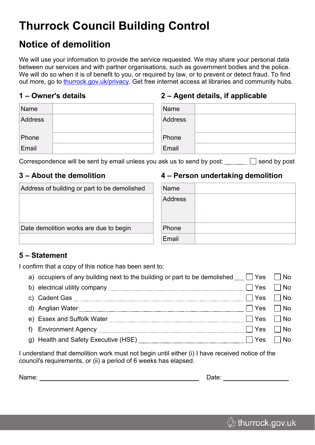# **Thurrock Council Building Control**

# **Notice of demolition**

We will use your information to provide the service requested. We may share your personal data between our services and with partner organisations, such as government bodies and the police. We will do so when it is of benefit to you, or required by law, or to prevent or detect fraud. To find out more, go to [thurrock.gov.uk/privacy.](https://www.thurrock.gov.uk/privacy) Get free internet access at libraries and community hubs.

#### **1 – Owner's details**

### **2 – Agent details, if applicable**

| Name           |  | Name    |  |
|----------------|--|---------|--|
| <b>Address</b> |  | Address |  |
| Phone          |  | Phone   |  |
| Email          |  | Email   |  |

Correspondence will be sent by email unless you ask us to send by post:  $\Box$  send by post

### **3 – About the demolition**

#### **4 – Person undertaking demolition**

| Address of building or part to be demolished | Name           |
|----------------------------------------------|----------------|
|                                              | <b>Address</b> |
|                                              |                |
|                                              |                |
| Date demolition works are due to begin       | <b>Phone</b>   |
|                                              | Email          |

#### **5 – Statement**

I confirm that a copy of this notice has been sent to:

|  | a) occupiers of any building next to the building or part to be demolished $\Box$ Yes $\Box$ No<br>b) electrical utility company $\ldots$ $\ldots$ $\ldots$ $\ldots$ $\ldots$ $\ldots$ $\ldots$ $\ldots$ $\ldots$ $\ldots$ $\ldots$ $\ldots$ $\ldots$ $\ldots$ $\ldots$ $\ldots$<br>e) Essex and Suffolk Water $\frac{1}{\frac{1}{2} \cdot \frac{1}{2} \cdot \frac{1}{2} \cdot \frac{1}{2} \cdot \frac{1}{2} \cdot \frac{1}{2} \cdot \frac{1}{2} \cdot \frac{1}{2} \cdot \frac{1}{2} \cdot \frac{1}{2} \cdot \frac{1}{2} \cdot \frac{1}{2} \cdot \frac{1}{2} \cdot \frac{1}{2} \cdot \frac{1}{2} \cdot \frac{1}{2} \cdot \frac{1}{2} \cdot \frac{1}{2} \cdot \frac{1}{2} \cdot \frac{1}{2} \cdot \frac{1}{2} \$ |
|--|-----------------------------------------------------------------------------------------------------------------------------------------------------------------------------------------------------------------------------------------------------------------------------------------------------------------------------------------------------------------------------------------------------------------------------------------------------------------------------------------------------------------------------------------------------------------------------------------------------------------------------------------------------------------------------------------------------------------|

I understand that demolition work must not begin until either (i) I have received notice of the council's requirements, or (ii) a period of 6 weeks has elapsed.